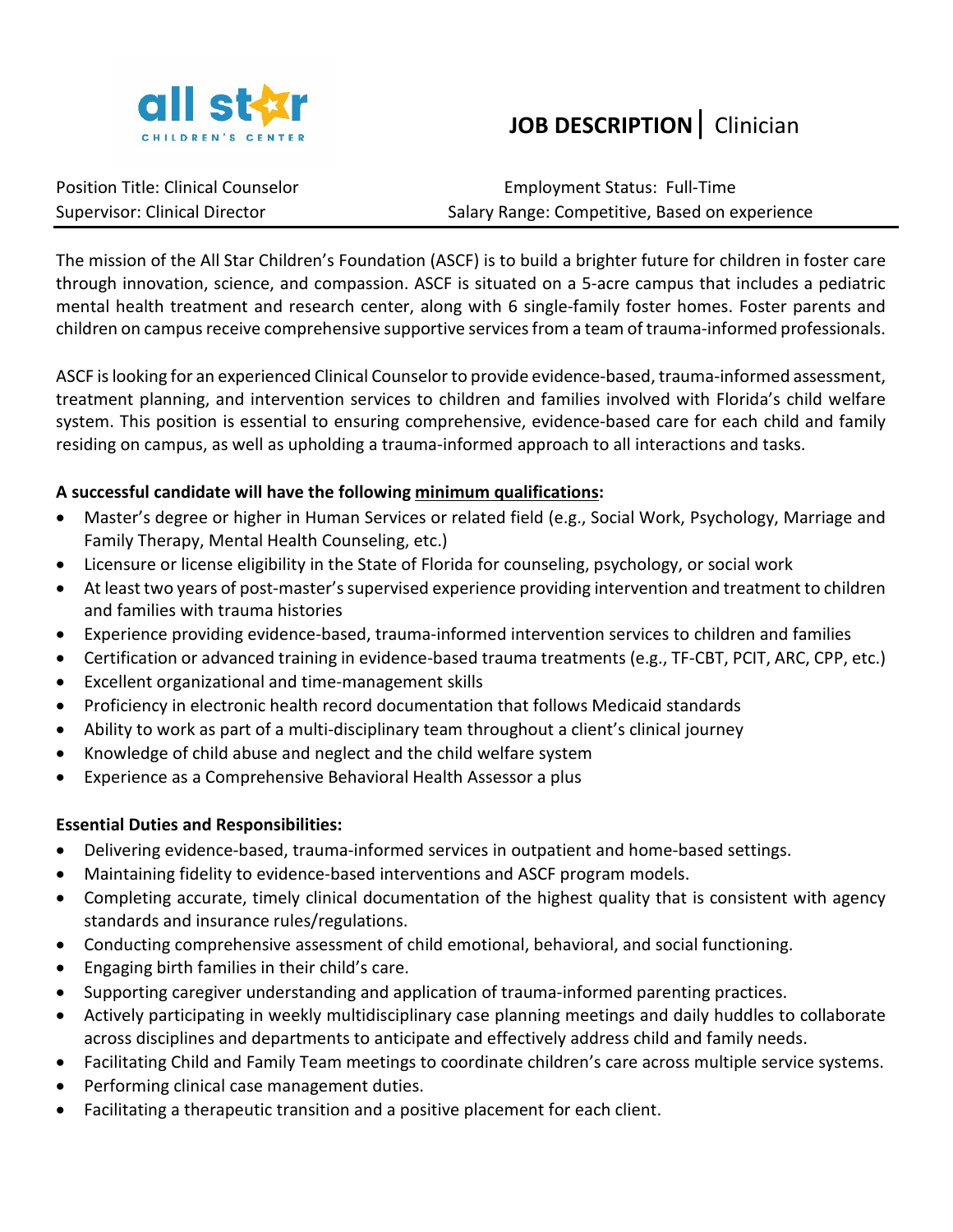

## **JOB DESCRIPTION**| Clinician

Position Title: Clinical Counselor entity and the matter of Employment Status: Full-Time Supervisor: Clinical Director **Salary Range: Competitive, Based on experience** Salary Range: Competitive, Based on experience

The mission of the All Star Children's Foundation (ASCF) is to build a brighter future for children in foster care through innovation, science, and compassion. ASCF is situated on a 5-acre campus that includes a pediatric mental health treatment and research center, along with 6 single-family foster homes. Foster parents and children on campus receive comprehensive supportive services from a team of trauma-informed professionals.

ASCF is looking for an experienced Clinical Counselor to provide evidence-based, trauma-informed assessment, treatment planning, and intervention services to children and families involved with Florida's child welfare system. This position is essential to ensuring comprehensive, evidence-based care for each child and family residing on campus, as well as upholding a trauma-informed approach to all interactions and tasks.

## **A successful candidate will have the following minimum qualifications:**

- Master's degree or higher in Human Services or related field (e.g., Social Work, Psychology, Marriage and Family Therapy, Mental Health Counseling, etc.)
- Licensure or license eligibility in the State of Florida for counseling, psychology, or social work
- At least two years of post-master's supervised experience providing intervention and treatment to children and families with trauma histories
- Experience providing evidence-based, trauma-informed intervention services to children and families
- Certification or advanced training in evidence-based trauma treatments (e.g., TF-CBT, PCIT, ARC, CPP, etc.)
- Excellent organizational and time-management skills
- Proficiency in electronic health record documentation that follows Medicaid standards
- Ability to work as part of a multi-disciplinary team throughout a client's clinical journey
- Knowledge of child abuse and neglect and the child welfare system
- Experience as a Comprehensive Behavioral Health Assessor a plus

## **Essential Duties and Responsibilities:**

- Delivering evidence-based, trauma-informed services in outpatient and home-based settings.
- Maintaining fidelity to evidence-based interventions and ASCF program models.
- Completing accurate, timely clinical documentation of the highest quality that is consistent with agency standards and insurance rules/regulations.
- Conducting comprehensive assessment of child emotional, behavioral, and social functioning.
- Engaging birth families in their child's care.
- Supporting caregiver understanding and application of trauma-informed parenting practices.
- Actively participating in weekly multidisciplinary case planning meetings and daily huddles to collaborate across disciplines and departments to anticipate and effectively address child and family needs.
- Facilitating Child and Family Team meetings to coordinate children's care across multiple service systems.
- Performing clinical case management duties.
- Facilitating a therapeutic transition and a positive placement for each client.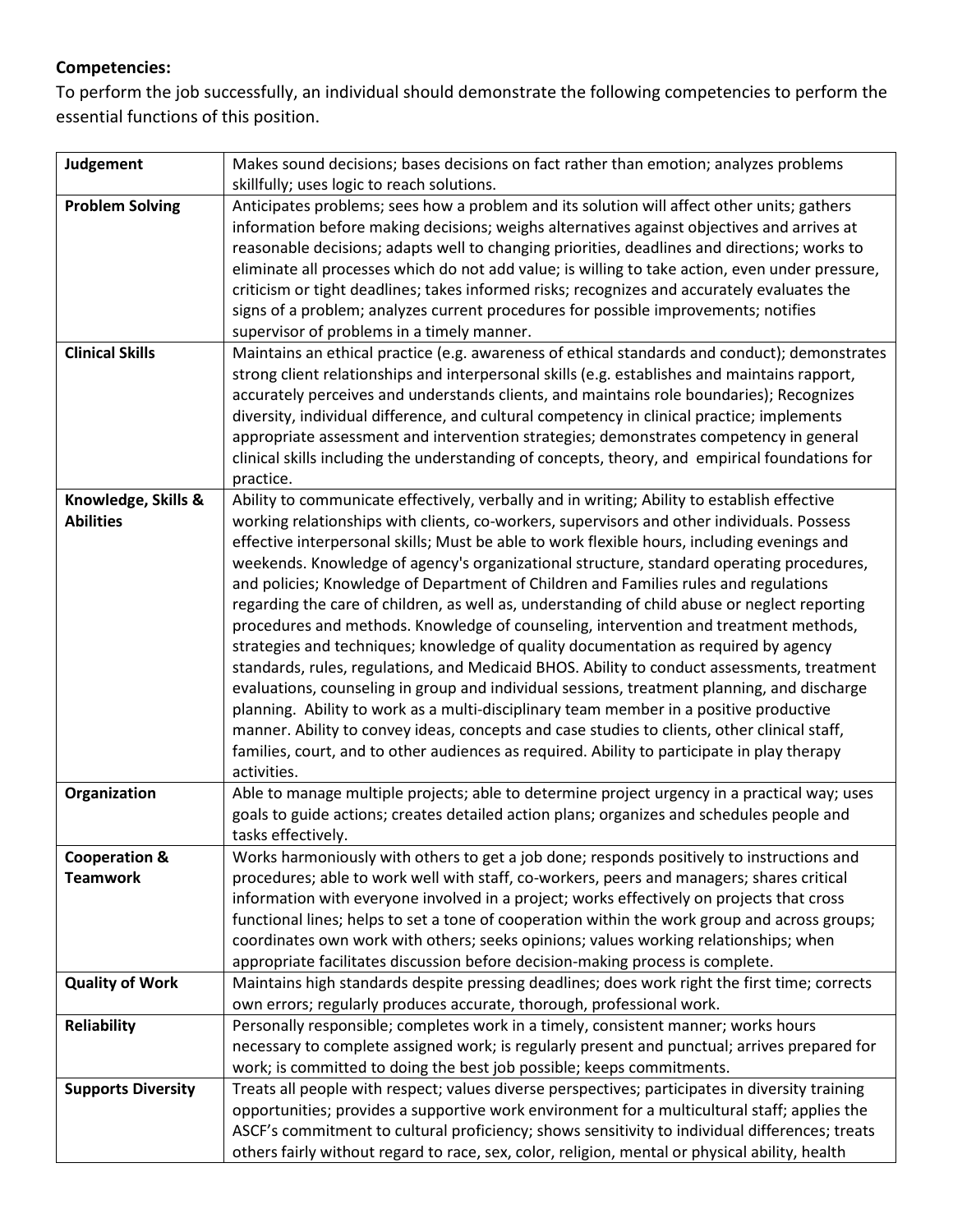## **Competencies:**

To perform the job successfully, an individual should demonstrate the following competencies to perform the essential functions of this position.

| Judgement                 | Makes sound decisions; bases decisions on fact rather than emotion; analyzes problems           |
|---------------------------|-------------------------------------------------------------------------------------------------|
|                           | skillfully; uses logic to reach solutions.                                                      |
| <b>Problem Solving</b>    | Anticipates problems; sees how a problem and its solution will affect other units; gathers      |
|                           | information before making decisions; weighs alternatives against objectives and arrives at      |
|                           | reasonable decisions; adapts well to changing priorities, deadlines and directions; works to    |
|                           | eliminate all processes which do not add value; is willing to take action, even under pressure, |
|                           | criticism or tight deadlines; takes informed risks; recognizes and accurately evaluates the     |
|                           | signs of a problem; analyzes current procedures for possible improvements; notifies             |
|                           | supervisor of problems in a timely manner.                                                      |
| <b>Clinical Skills</b>    | Maintains an ethical practice (e.g. awareness of ethical standards and conduct); demonstrates   |
|                           | strong client relationships and interpersonal skills (e.g. establishes and maintains rapport,   |
|                           | accurately perceives and understands clients, and maintains role boundaries); Recognizes        |
|                           | diversity, individual difference, and cultural competency in clinical practice; implements      |
|                           | appropriate assessment and intervention strategies; demonstrates competency in general          |
|                           | clinical skills including the understanding of concepts, theory, and empirical foundations for  |
|                           | practice.                                                                                       |
| Knowledge, Skills &       | Ability to communicate effectively, verbally and in writing; Ability to establish effective     |
| <b>Abilities</b>          | working relationships with clients, co-workers, supervisors and other individuals. Possess      |
|                           | effective interpersonal skills; Must be able to work flexible hours, including evenings and     |
|                           | weekends. Knowledge of agency's organizational structure, standard operating procedures,        |
|                           | and policies; Knowledge of Department of Children and Families rules and regulations            |
|                           | regarding the care of children, as well as, understanding of child abuse or neglect reporting   |
|                           | procedures and methods. Knowledge of counseling, intervention and treatment methods,            |
|                           | strategies and techniques; knowledge of quality documentation as required by agency             |
|                           | standards, rules, regulations, and Medicaid BHOS. Ability to conduct assessments, treatment     |
|                           | evaluations, counseling in group and individual sessions, treatment planning, and discharge     |
|                           | planning. Ability to work as a multi-disciplinary team member in a positive productive          |
|                           | manner. Ability to convey ideas, concepts and case studies to clients, other clinical staff,    |
|                           | families, court, and to other audiences as required. Ability to participate in play therapy     |
|                           | activities.                                                                                     |
| Organization              | Able to manage multiple projects; able to determine project urgency in a practical way; uses    |
|                           | goals to guide actions; creates detailed action plans; organizes and schedules people and       |
|                           | tasks effectively.                                                                              |
| <b>Cooperation &amp;</b>  | Works harmoniously with others to get a job done; responds positively to instructions and       |
| <b>Teamwork</b>           | procedures; able to work well with staff, co-workers, peers and managers; shares critical       |
|                           | information with everyone involved in a project; works effectively on projects that cross       |
|                           | functional lines; helps to set a tone of cooperation within the work group and across groups;   |
|                           | coordinates own work with others; seeks opinions; values working relationships; when            |
|                           | appropriate facilitates discussion before decision-making process is complete.                  |
| <b>Quality of Work</b>    | Maintains high standards despite pressing deadlines; does work right the first time; corrects   |
|                           | own errors; regularly produces accurate, thorough, professional work.                           |
| <b>Reliability</b>        | Personally responsible; completes work in a timely, consistent manner; works hours              |
|                           | necessary to complete assigned work; is regularly present and punctual; arrives prepared for    |
|                           | work; is committed to doing the best job possible; keeps commitments.                           |
| <b>Supports Diversity</b> | Treats all people with respect; values diverse perspectives; participates in diversity training |
|                           | opportunities; provides a supportive work environment for a multicultural staff; applies the    |
|                           | ASCF's commitment to cultural proficiency; shows sensitivity to individual differences; treats  |
|                           | others fairly without regard to race, sex, color, religion, mental or physical ability, health  |